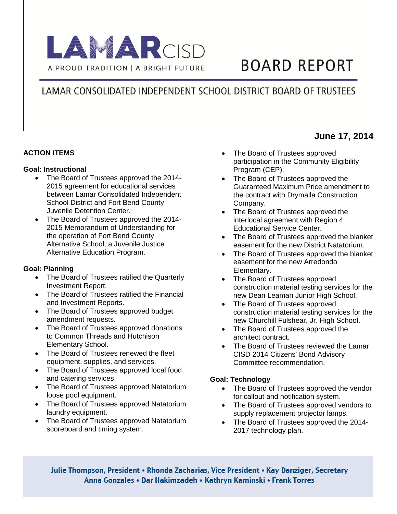

# **BOARD REPORT**

## LAMAR CONSOLIDATED INDEPENDENT SCHOOL DISTRICT BOARD OF TRUSTEES

## **ACTION ITEMS**

#### **Goal: Instructional**

- The Board of Trustees approved the 2014-2015 agreement for educational services between Lamar Consolidated Independent School District and Fort Bend County Juvenile Detention Center.
- The Board of Trustees approved the 2014- 2015 Memorandum of Understanding for the operation of Fort Bend County Alternative School, a Juvenile Justice Alternative Education Program.

## **Goal: Planning**

- The Board of Trustees ratified the Quarterly Investment Report.
- The Board of Trustees ratified the Financial and Investment Reports.
- The Board of Trustees approved budget amendment requests.
- The Board of Trustees approved donations to Common Threads and Hutchison Elementary School.
- The Board of Trustees renewed the fleet equipment, supplies, and services.
- The Board of Trustees approved local food and catering services.
- The Board of Trustees approved Natatorium loose pool equipment.
- The Board of Trustees approved Natatorium laundry equipment.
- The Board of Trustees approved Natatorium scoreboard and timing system.
- The Board of Trustees approved participation in the Community Eligibility Program (CEP).
- The Board of Trustees approved the Guaranteed Maximum Price amendment to the contract with Drymalla Construction Company.
- The Board of Trustees approved the interlocal agreement with Region 4 Educational Service Center.
- The Board of Trustees approved the blanket easement for the new District Natatorium.
- The Board of Trustees approved the blanket easement for the new Arredondo Elementary.
- The Board of Trustees approved construction material testing services for the new Dean Leaman Junior High School.
- The Board of Trustees approved construction material testing services for the new Churchill Fulshear, Jr. High School.
- The Board of Trustees approved the architect contract.
- The Board of Trustees reviewed the Lamar CISD 2014 Citizens' Bond Advisory Committee recommendation.

## **Goal: Technology**

- The Board of Trustees approved the vendor for callout and notification system.
- The Board of Trustees approved vendors to supply replacement projector lamps.
- The Board of Trustees approved the 2014-2017 technology plan.

Julie Thompson, President • Rhonda Zacharias, Vice President • Kay Danziger, Secretary Anna Gonzales • Dar Hakimzadeh • Kathryn Kaminski • Frank Torres

## **June 17, 2014**